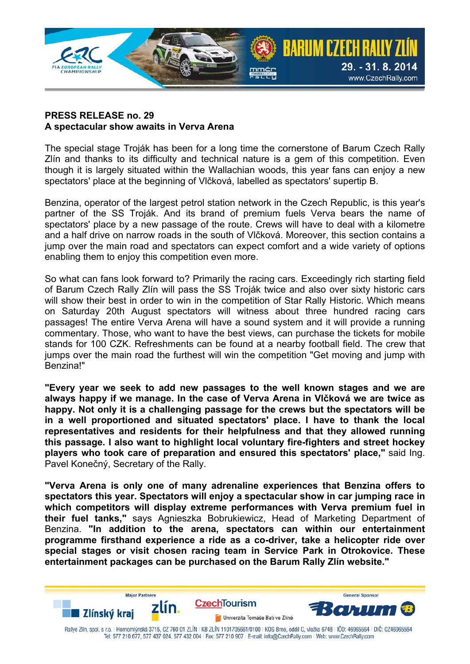

## **PRESS RELEASE no. 29 A spectacular show awaits in Verva Arena**

The special stage Troják has been for a long time the cornerstone of Barum Czech Rally Zlín and thanks to its difficulty and technical nature is a gem of this competition. Even though it is largely situated within the Wallachian woods, this year fans can enjoy a new spectators' place at the beginning of Vlčková, labelled as spectators' supertip B.

Benzina, operator of the largest petrol station network in the Czech Republic, is this year's partner of the SS Troják. And its brand of premium fuels Verva bears the name of spectators' place by a new passage of the route. Crews will have to deal with a kilometre and a half drive on narrow roads in the south of Vlčková. Moreover, this section contains a jump over the main road and spectators can expect comfort and a wide variety of options enabling them to enjoy this competition even more.

So what can fans look forward to? Primarily the racing cars. Exceedingly rich starting field of Barum Czech Rally Zlín will pass the SS Troják twice and also over sixty historic cars will show their best in order to win in the competition of Star Rally Historic. Which means on Saturday 20th August spectators will witness about three hundred racing cars passages! The entire Verva Arena will have a sound system and it will provide a running commentary. Those, who want to have the best views, can purchase the tickets for mobile stands for 100 CZK. Refreshments can be found at a nearby football field. The crew that jumps over the main road the furthest will win the competition "Get moving and jump with Benzina!"

**"Every year we seek to add new passages to the well known stages and we are always happy if we manage. In the case of Verva Arena in Vlčková we are twice as happy. Not only it is a challenging passage for the crews but the spectators will be in a well proportioned and situated spectators' place. I have to thank the local representatives and residents for their helpfulness and that they allowed running this passage. I also want to highlight local voluntary fire-fighters and street hockey players who took care of preparation and ensured this spectators' place,"** said Ing. Pavel Konečný, Secretary of the Rally.

**"Verva Arena is only one of many adrenaline experiences that Benzina offers to spectators this year. Spectators will enjoy a spectacular show in car jumping race in which competitors will display extreme performances with Verva premium fuel in their fuel tanks,"** says Agnieszka Bobrukiewicz, Head of Marketing Department of Benzina. **"In addition to the arena, spectators can within our entertainment programme firsthand experience a ride as a co-driver, take a helicopter ride over special stages or visit chosen racing team in Service Park in Otrokovice. These entertainment packages can be purchased on the Barum Rally Zlín website."**